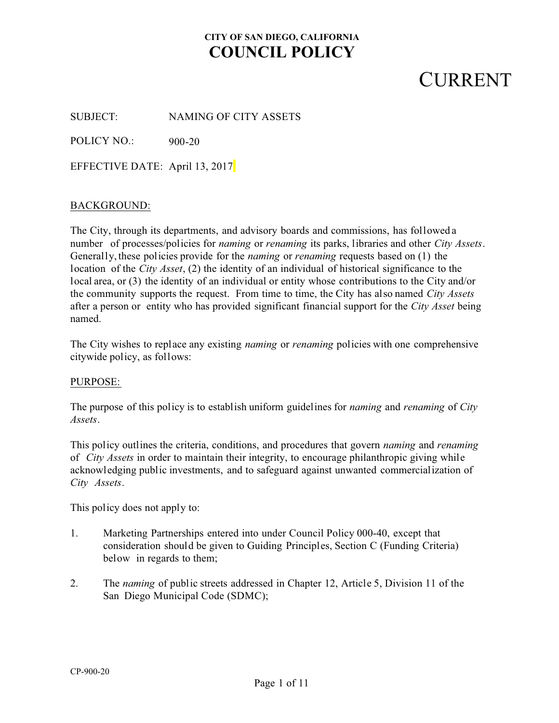### **CURRENT**

SUBJECT: NAMING OF CITY ASSETS

POLICY NO.: 900-20

EFFECTIVE DATE: April 13, 2017

#### BACKGROUND:

The City, through its departments, and advisory boards and commissions, has followed a number of processes/policies for *naming* or *renaming* its parks, libraries and other *City Assets*. Generally, these policies provide for the *naming* or *renaming* requests based on (1) the location of the *City Asset*, (2) the identity of an individual of historical significance to the local area, or (3) the identity of an individual or entity whose contributions to the City and/or the community supports the request. From time to time, the City has also named *City Assets* after a person or entity who has provided significant financial support for the *City Asset* being named.

The City wishes to replace any existing *naming* or *renaming* policies with one comprehensive citywide policy, as follows:

#### PURPOSE:

The purpose of this policy is to establish uniform guidelines for *naming* and *renaming* of *City Assets*.

This policy outlines the criteria, conditions, and procedures that govern *naming* and *renaming* of *City Assets* in order to maintain their integrity, to encourage philanthropic giving while acknowledging public investments, and to safeguard against unwanted commercialization of *City Assets*.

This policy does not apply to:

- 1. Marketing Partnerships entered into under Council Policy 000-40, except that consideration should be given to Guiding Principles, Section C (Funding Criteria) below in regards to them;
- 2. The *naming* of public streets addressed in Chapter 12, Article 5, Division 11 of the San Diego Municipal Code (SDMC);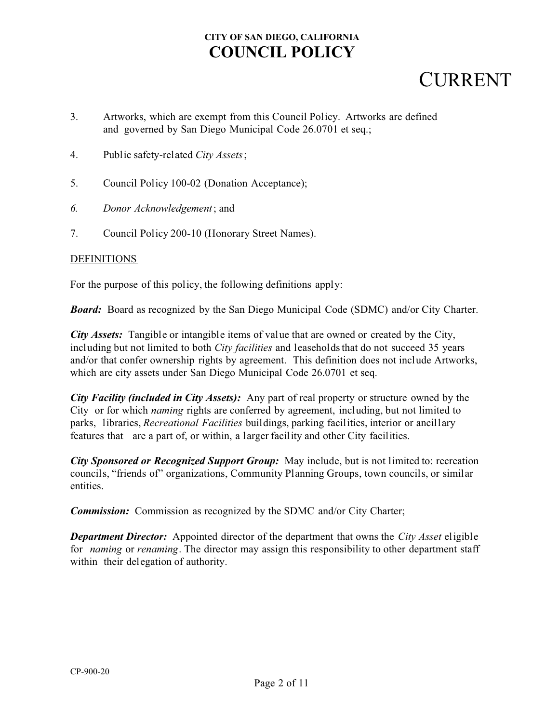### **CURRENT**

- 3. Artworks, which are exempt from this Council Policy. Artworks are defined and governed by San Diego Municipal Code 26.0701 et seq.;
- 4. Public safety-related *City Assets* ;
- 5. Council Policy 100-02 (Donation Acceptance);
- *6. Donor Acknowledgement*; and
- 7. Council Policy 200-10 (Honorary Street Names).

#### **DEFINITIONS**

For the purpose of this policy, the following definitions apply:

*Board:* Board as recognized by the San Diego Municipal Code (SDMC) and/or City Charter.

*City Assets:* Tangible or intangible items of value that are owned or created by the City, including but not limited to both *City facilities* and leaseholds that do not succeed 35 years and/or that confer ownership rights by agreement. This definition does not include Artworks, which are city assets under San Diego Municipal Code 26.0701 et seq.

*City Facility (included in City Assets):* Any part of real property or structure owned by the City or for which *naming* rights are conferred by agreement, including, but not limited to parks, libraries, *Recreational Facilities* buildings, parking facilities, interior or ancillary features that are a part of, or within, a larger facility and other City facilities.

*City Sponsored or Recognized Support Group:* May include, but is not limited to: recreation councils, "friends of" organizations, Community Planning Groups, town councils, or similar entities.

*Commission:* Commission as recognized by the SDMC and/or City Charter;

*Department Director:* Appointed director of the department that owns the *City Asset* eligible for *naming* or *renaming*. The director may assign this responsibility to other department staff within their delegation of authority.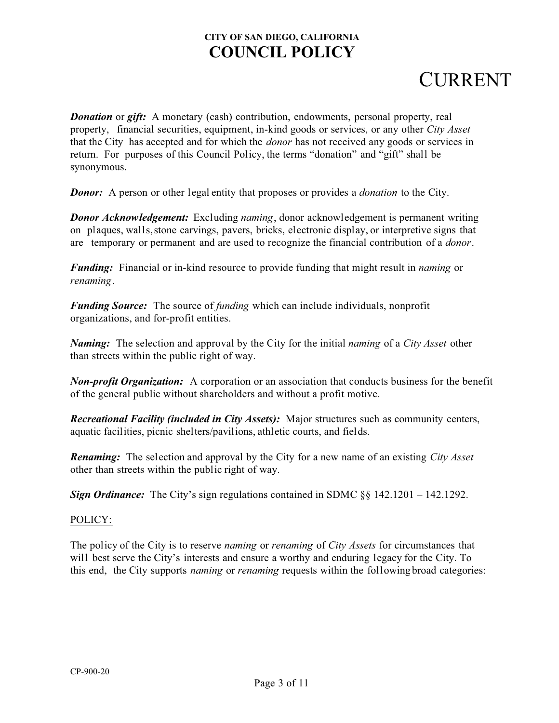# **CURRENT**

*Donation* or *gift***:** A monetary (cash) contribution, endowments, personal property, real property, financial securities, equipment, in-kind goods or services, or any other *City Asset* that the City has accepted and for which the *donor* has not received any goods or services in return. For purposes of this Council Policy, the terms "donation" and "gift" shall be synonymous.

*Donor:* A person or other legal entity that proposes or provides a *donation* to the City.

**Donor Acknowledgement:** Excluding *naming*, donor acknowledgement is permanent writing on plaques, walls, stone carvings, pavers, bricks, electronic display, or interpretive signs that are temporary or permanent and are used to recognize the financial contribution of a *donor*.

*Funding:* Financial or in-kind resource to provide funding that might result in *naming* or *renaming*.

*Funding Source:* The source of *funding* which can include individuals, nonprofit organizations, and for-profit entities.

*Naming:* The selection and approval by the City for the initial *naming* of a *City Asset* other than streets within the public right of way.

*Non-profit Organization:* A corporation or an association that conducts business for the benefit of the general public without shareholders and without a profit motive.

*Recreational Facility (included in City Assets):* Major structures such as community centers, aquatic facilities, picnic shelters/pavilions, athletic courts, and fields.

*Renaming:* The selection and approval by the City for a new name of an existing *City Asset* other than streets within the public right of way.

*Sign Ordinance:* The City's sign regulations contained in SDMC §§ 142.1201 – 142.1292.

#### POLICY:

The policy of the City is to reserve *naming* or *renaming* of *City Assets* for circumstances that will best serve the City's interests and ensure a worthy and enduring legacy for the City. To this end, the City supports *naming* or *renaming* requests within the following broad categories: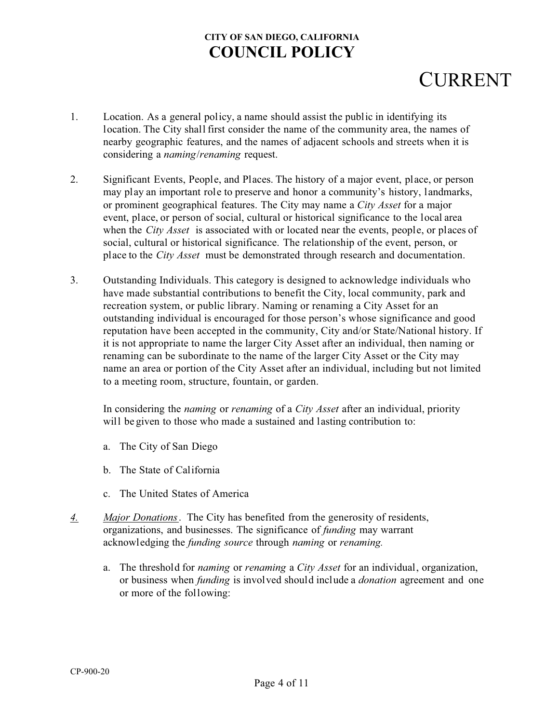# **CURRENT**

- 1. Location. As a general policy, a name should assist the public in identifying its location. The City shall first consider the name of the community area, the names of nearby geographic features, and the names of adjacent schools and streets when it is considering a *naming*/*renaming* request.
- 2. Significant Events, People, and Places. The history of a major event, place, or person may play an important role to preserve and honor a community's history, landmarks, or prominent geographical features. The City may name a *City Asset* for a major event, place, or person of social, cultural or historical significance to the local area when the *City Asset* is associated with or located near the events, people, or places of social, cultural or historical significance. The relationship of the event, person, or place to the *City Asset* must be demonstrated through research and documentation.
- 3. Outstanding Individuals. This category is designed to acknowledge individuals who have made substantial contributions to benefit the City, local community, park and recreation system, or public library. Naming or renaming a City Asset for an outstanding individual is encouraged for those person's whose significance and good reputation have been accepted in the community, City and/or State/National history. If it is not appropriate to name the larger City Asset after an individual, then naming or renaming can be subordinate to the name of the larger City Asset or the City may name an area or portion of the City Asset after an individual, including but not limited to a meeting room, structure, fountain, or garden.

In considering the *naming* or *renaming* of a *City Asset* after an individual, priority will be given to those who made a sustained and lasting contribution to:

- a. The City of San Diego
- b. The State of California
- c. The United States of America
- *4. Major Donations* . The City has benefited from the generosity of residents, organizations, and businesses. The significance of *funding* may warrant acknowledging the *funding source* through *naming* or *renaming.*
	- a. The threshold for *naming* or *renaming* a *City Asset* for an individual, organization, or business when *funding* is involved should include a *donation* agreement and one or more of the following: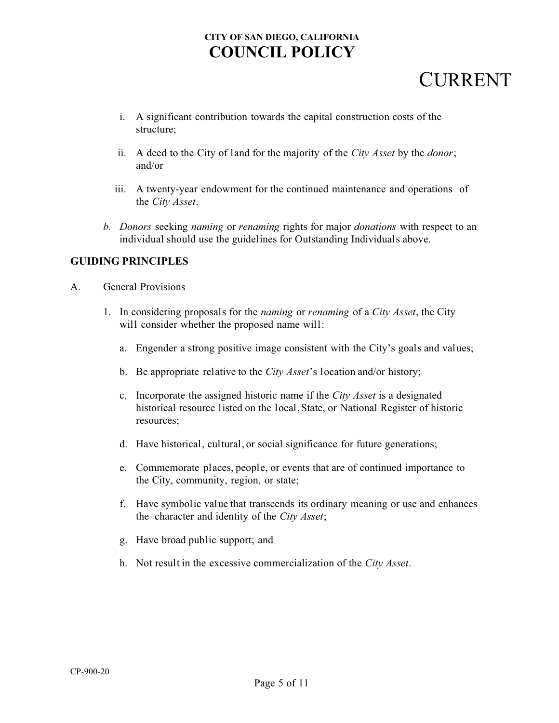# **CURRENT**

- i. A significant contribution towards the capital construction costs of the structure;
- ii. A deed to the City of land for the majority of the *City Asset* by the *donor*; and/or
- iii. A twenty-year endowment for the continued maintenance and operations of the *City Asset*.
- *b. Donors* seeking *naming* or *renaming* rights for major *donations* with respect to an individual should use the guidelines for Outstanding Individuals above.

#### **GUIDING PRINCIPLES**

- A. General Provisions
	- 1. In considering proposals for the *naming* or *renaming* of a *City Asset*, the City will consider whether the proposed name will:
		- a. Engender a strong positive image consistent with the City's goals and values;
		- b. Be appropriate relative to the *City Asset*'s location and/or history;
		- c. Incorporate the assigned historic name if the *City Asset* is a designated historical resource listed on the local, State, or National Register of historic resources;
		- d. Have historical, cultural, or social significance for future generations;
		- e. Commemorate places, people, or events that are of continued importance to the City, community, region, or state;
		- f. Have symbolic value that transcends its ordinary meaning or use and enhances the character and identity of the *City Asset*;
		- g. Have broad public support; and
		- h. Not result in the excessive commercialization of the *City Asset*.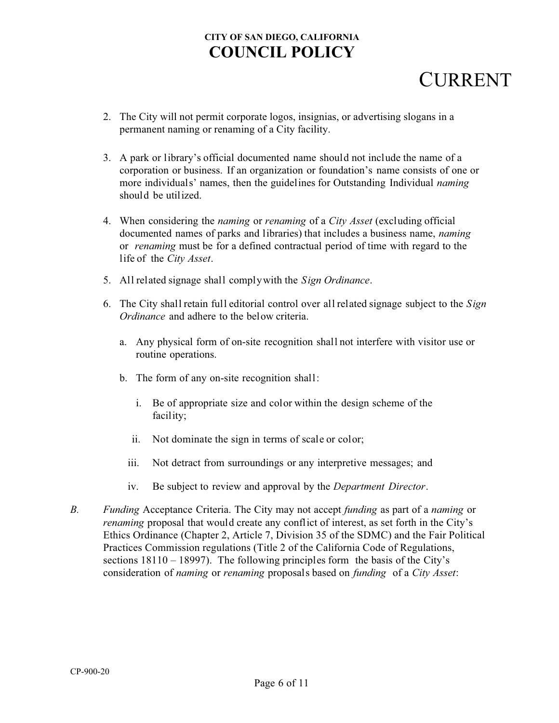# **CURRENT**

- 2. The City will not permit corporate logos, insignias, or advertising slogans in a permanent naming or renaming of a City facility.
- 3. A park or library's official documented name should not include the name of a corporation or business. If an organization or foundation's name consists of one or more individuals' names, then the guidelines for Outstanding Individual *naming* should be utilized.
- 4. When considering the *naming* or *renaming* of a *City Asset* (excluding official documented names of parks and libraries) that includes a business name, *naming* or *renaming* must be for a defined contractual period of time with regard to the life of the *City Asset*.
- 5. All related signage shall complywith the *Sign Ordinance*.
- 6. The City shall retain full editorial control over all related signage subject to the *Sign Ordinance* and adhere to the below criteria.
	- a. Any physical form of on-site recognition shall not interfere with visitor use or routine operations.
	- b. The form of any on-site recognition shall:
		- i. Be of appropriate size and color within the design scheme of the facility;
		- ii. Not dominate the sign in terms of scale or color;
		- iii. Not detract from surroundings or any interpretive messages; and
		- iv. Be subject to review and approval by the *Department Director*.
- *B. Funding* Acceptance Criteria. The City may not accept *funding* as part of a *naming* or *renaming* proposal that would create any conflict of interest, as set forth in the City's Ethics Ordinance (Chapter 2, Article 7, Division 35 of the SDMC) and the Fair Political Practices Commission regulations (Title 2 of the California Code of Regulations, sections 18110 – 18997). The following principles form the basis of the City's consideration of *naming* or *renaming* proposals based on *funding* of a *City Asset*: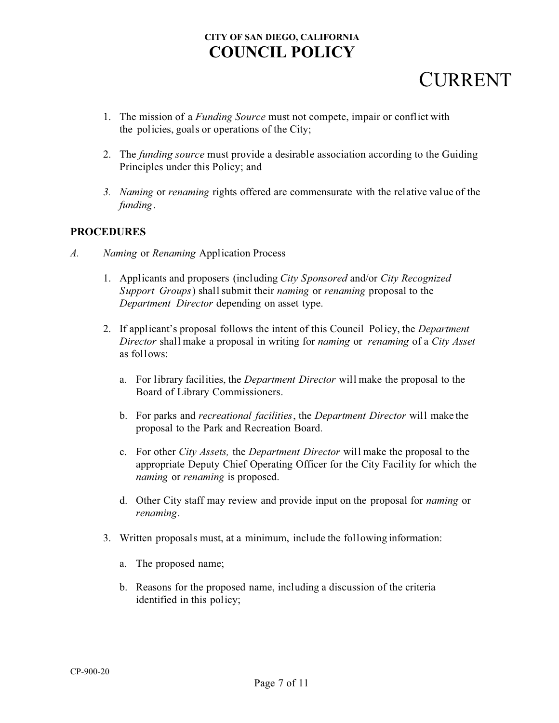# CURRENT

- 1. The mission of a *Funding Source* must not compete, impair or conflict with the policies, goals or operations of the City;
- 2. The *funding source* must provide a desirable association according to the Guiding Principles under this Policy; and
- *3. Naming* or *renaming* rights offered are commensurate with the relative value of the *funding*.

#### **PROCEDURES**

- *A. Naming* or *Renaming* Application Process
	- 1. Applicants and proposers (including *City Sponsored* and/or *City Recognized Support Groups*) shall submit their *naming* or *renaming* proposal to the *Department Director* depending on asset type.
	- 2. If applicant's proposal follows the intent of this Council Policy, the *Department Director* shall make a proposal in writing for *naming* or *renaming* of a *City Asset* as follows:
		- a. For library facilities, the *Department Director* will make the proposal to the Board of Library Commissioners.
		- b. For parks and *recreational facilities*, the *Department Director* will make the proposal to the Park and Recreation Board*.*
		- c. For other *City Assets,* the *Department Director* will make the proposal to the appropriate Deputy Chief Operating Officer for the City Facility for which the *naming* or *renaming* is proposed.
		- d. Other City staff may review and provide input on the proposal for *naming* or *renaming*.
	- 3. Written proposals must, at a minimum, include the following information:
		- a. The proposed name;
		- b. Reasons for the proposed name, including a discussion of the criteria identified in this policy;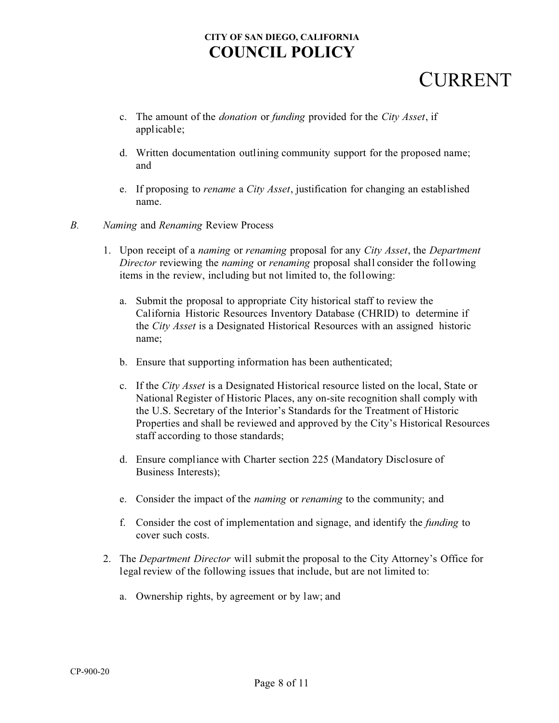## **CURRENT**

- c. The amount of the *donation* or *funding* provided for the *City Asset*, if applicable;
- d. Written documentation outlining community support for the proposed name; and
- e. If proposing to *rename* a *City Asset*, justification for changing an established name.
- *B. Naming* and *Renaming* Review Process
	- 1. Upon receipt of a *naming* or *renaming* proposal for any *City Asset*, the *Department Director* reviewing the *naming* or *renaming* proposal shall consider the following items in the review, including but not limited to, the following:
		- a. Submit the proposal to appropriate City historical staff to review the California Historic Resources Inventory Database (CHRID) to determine if the *City Asset* is a Designated Historical Resources with an assigned historic name;
		- b. Ensure that supporting information has been authenticated;
		- c. If the *City Asset* is a Designated Historical resource listed on the local, State or National Register of Historic Places, any on-site recognition shall comply with the U.S. Secretary of the Interior's Standards for the Treatment of Historic Properties and shall be reviewed and approved by the City's Historical Resources staff according to those standards;
		- d. Ensure compliance with Charter section 225 (Mandatory Disclosure of Business Interests);
		- e. Consider the impact of the *naming* or *renaming* to the community; and
		- f. Consider the cost of implementation and signage, and identify the *funding* to cover such costs.
	- 2. The *Department Director* will submit the proposal to the City Attorney's Office for legal review of the following issues that include, but are not limited to:
		- a. Ownership rights, by agreement or by law; and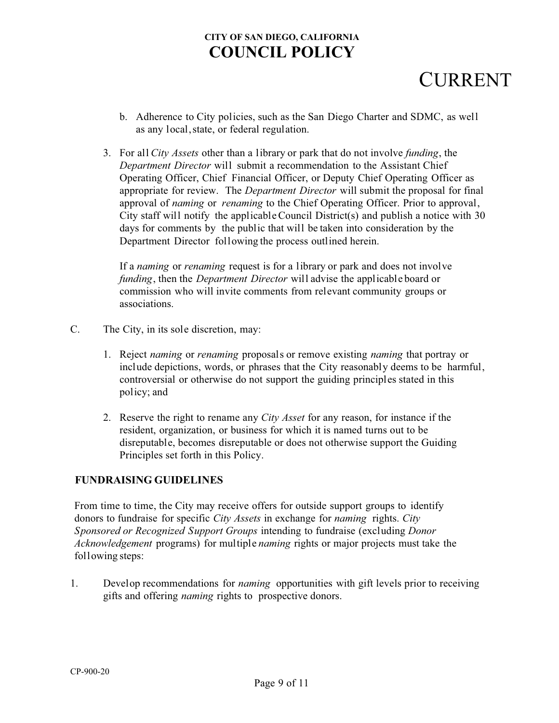# CURRENT

- b. Adherence to City policies, such as the San Diego Charter and SDMC, as well as any local, state, or federal regulation.
- 3. For all *City Assets* other than a library or park that do not involve *funding*, the *Department Director* will submit a recommendation to the Assistant Chief Operating Officer, Chief Financial Officer, or Deputy Chief Operating Officer as appropriate for review. The *Department Director* will submit the proposal for final approval of *naming* or *renaming* to the Chief Operating Officer. Prior to approval, City staff will notify the applicable Council District(s) and publish a notice with 30 days for comments by the public that will be taken into consideration by the Department Director following the process outlined herein.

If a *naming* or *renaming* request is for a library or park and does not involve *funding*, then the *Department Director* will advise the applicable board or commission who will invite comments from relevant community groups or associations.

- C. The City, in its sole discretion, may:
	- 1. Reject *naming* or *renaming* proposals or remove existing *naming* that portray or include depictions, words, or phrases that the City reasonably deems to be harmful, controversial or otherwise do not support the guiding principles stated in this policy; and
	- 2. Reserve the right to rename any *City Asset* for any reason, for instance if the resident, organization, or business for which it is named turns out to be disreputable, becomes disreputable or does not otherwise support the Guiding Principles set forth in this Policy.

#### **FUNDRAISING GUIDELINES**

From time to time, the City may receive offers for outside support groups to identify donors to fundraise for specific *City Assets* in exchange for *naming* rights. *City Sponsored or Recognized Support Groups* intending to fundraise (excluding *Donor Acknowledgement* programs) for multiple *naming* rights or major projects must take the following steps:

1. Develop recommendations for *naming* opportunities with gift levels prior to receiving gifts and offering *naming* rights to prospective donors.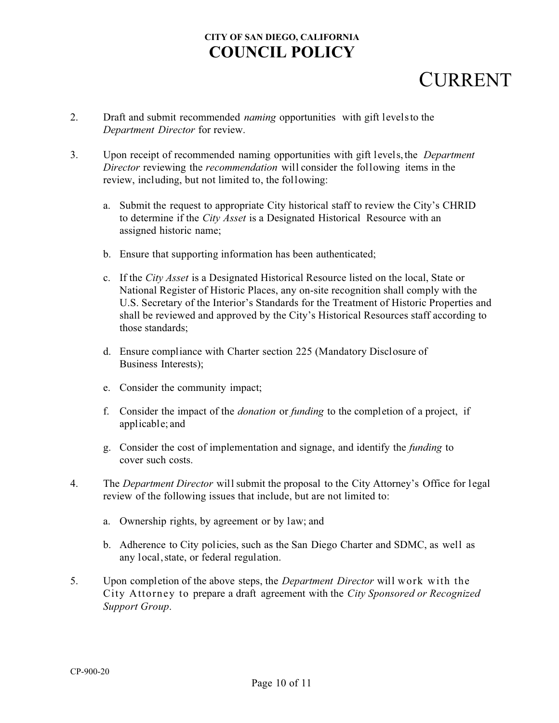## **CURRENT**

- 2. Draft and submit recommended *naming* opportunities with gift levels to the *Department Director* for review.
- 3. Upon receipt of recommended naming opportunities with gift levels,the *Department Director* reviewing the *recommendation* will consider the following items in the review, including, but not limited to, the following:
	- a. Submit the request to appropriate City historical staff to review the City's CHRID to determine if the *City Asset* is a Designated Historical Resource with an assigned historic name;
	- b. Ensure that supporting information has been authenticated;
	- c. If the *City Asset* is a Designated Historical Resource listed on the local, State or National Register of Historic Places, any on-site recognition shall comply with the U.S. Secretary of the Interior's Standards for the Treatment of Historic Properties and shall be reviewed and approved by the City's Historical Resources staff according to those standards;
	- d. Ensure compliance with Charter section 225 (Mandatory Disclosure of Business Interests);
	- e. Consider the community impact;
	- f. Consider the impact of the *donation* or *funding* to the completion of a project, if applicable; and
	- g. Consider the cost of implementation and signage, and identify the *funding* to cover such costs.
- 4. The *Department Director* will submit the proposal to the City Attorney's Office for legal review of the following issues that include, but are not limited to:
	- a. Ownership rights, by agreement or by law; and
	- b. Adherence to City policies, such as the San Diego Charter and SDMC, as well as any local, state, or federal regulation.
- 5. Upon completion of the above steps, the *Department Director* will work with the City Attorney to prepare a draft agreement with the *City Sponsored or Recognized Support Group*.